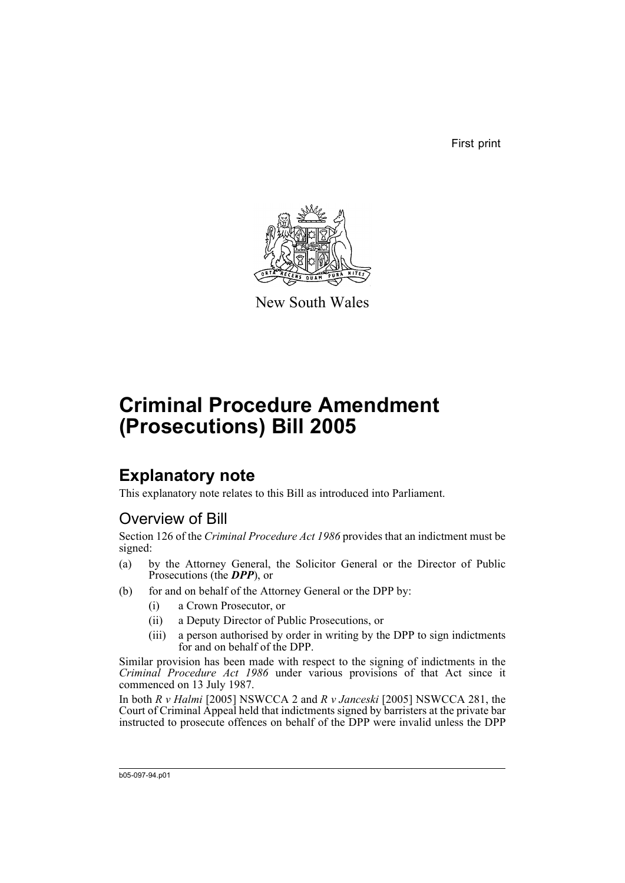First print



New South Wales

# **Criminal Procedure Amendment (Prosecutions) Bill 2005**

## **Explanatory note**

This explanatory note relates to this Bill as introduced into Parliament.

### Overview of Bill

Section 126 of the *Criminal Procedure Act 1986* provides that an indictment must be signed:

- (a) by the Attorney General, the Solicitor General or the Director of Public Prosecutions (the *DPP*), or
- (b) for and on behalf of the Attorney General or the DPP by:
	- (i) a Crown Prosecutor, or
	- (ii) a Deputy Director of Public Prosecutions, or
	- (iii) a person authorised by order in writing by the DPP to sign indictments for and on behalf of the DPP.

Similar provision has been made with respect to the signing of indictments in the *Criminal Procedure Act 1986* under various provisions of that Act since it commenced on 13 July 1987.

In both *R v Halmi* [2005] NSWCCA 2 and *R v Janceski* [2005] NSWCCA 281, the Court of Criminal Appeal held that indictments signed by barristers at the private bar instructed to prosecute offences on behalf of the DPP were invalid unless the DPP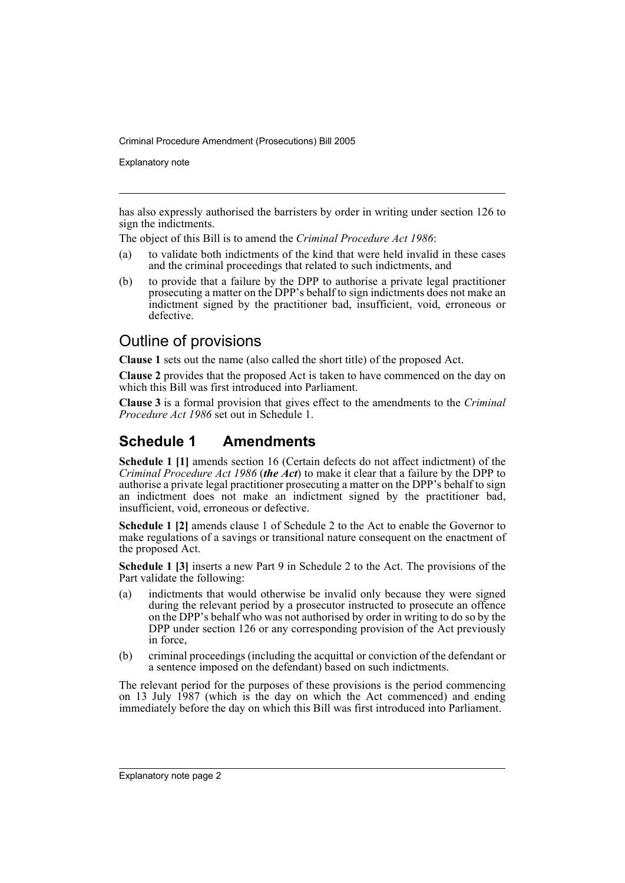Explanatory note

has also expressly authorised the barristers by order in writing under section 126 to sign the indictments.

The object of this Bill is to amend the *Criminal Procedure Act 1986*:

- (a) to validate both indictments of the kind that were held invalid in these cases and the criminal proceedings that related to such indictments, and
- (b) to provide that a failure by the DPP to authorise a private legal practitioner prosecuting a matter on the DPP's behalf to sign indictments does not make an indictment signed by the practitioner bad, insufficient, void, erroneous or defective.

### Outline of provisions

**Clause 1** sets out the name (also called the short title) of the proposed Act.

**Clause 2** provides that the proposed Act is taken to have commenced on the day on which this Bill was first introduced into Parliament.

**Clause 3** is a formal provision that gives effect to the amendments to the *Criminal Procedure Act 1986* set out in Schedule 1.

### **Schedule 1 Amendments**

**Schedule 1 [1]** amends section 16 (Certain defects do not affect indictment) of the *Criminal Procedure Act 1986* (*the Act*) to make it clear that a failure by the DPP to authorise a private legal practitioner prosecuting a matter on the DPP's behalf to sign an indictment does not make an indictment signed by the practitioner bad, insufficient, void, erroneous or defective.

**Schedule 1 [2]** amends clause 1 of Schedule 2 to the Act to enable the Governor to make regulations of a savings or transitional nature consequent on the enactment of the proposed Act.

**Schedule 1 [3]** inserts a new Part 9 in Schedule 2 to the Act. The provisions of the Part validate the following:

- (a) indictments that would otherwise be invalid only because they were signed during the relevant period by a prosecutor instructed to prosecute an offence on the DPP's behalf who was not authorised by order in writing to do so by the DPP under section 126 or any corresponding provision of the Act previously in force,
- (b) criminal proceedings (including the acquittal or conviction of the defendant or a sentence imposed on the defendant) based on such indictments.

The relevant period for the purposes of these provisions is the period commencing on 13 July 1987 (which is the day on which the Act commenced) and ending immediately before the day on which this Bill was first introduced into Parliament.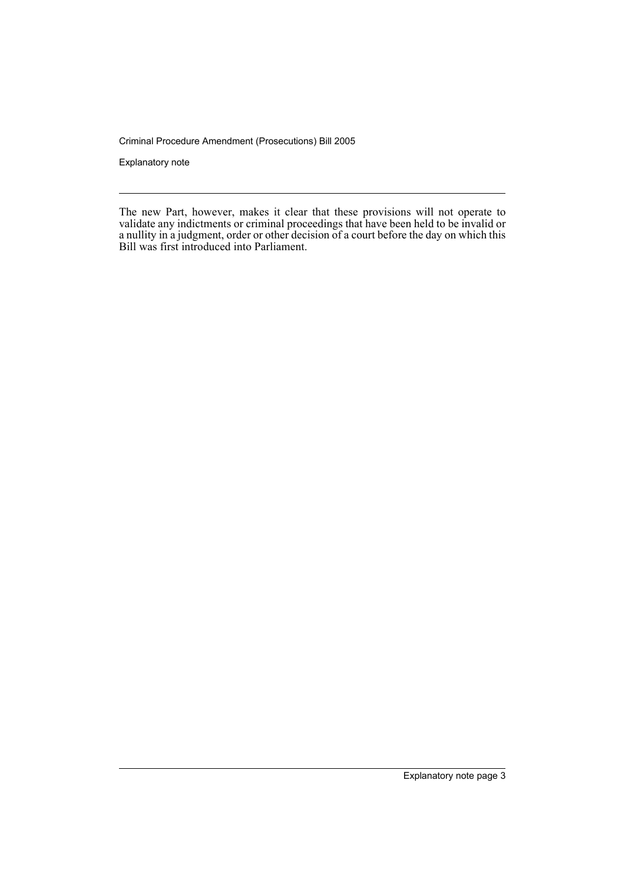Explanatory note

The new Part, however, makes it clear that these provisions will not operate to validate any indictments or criminal proceedings that have been held to be invalid or a nullity in a judgment, order or other decision of a court before the day on which this Bill was first introduced into Parliament.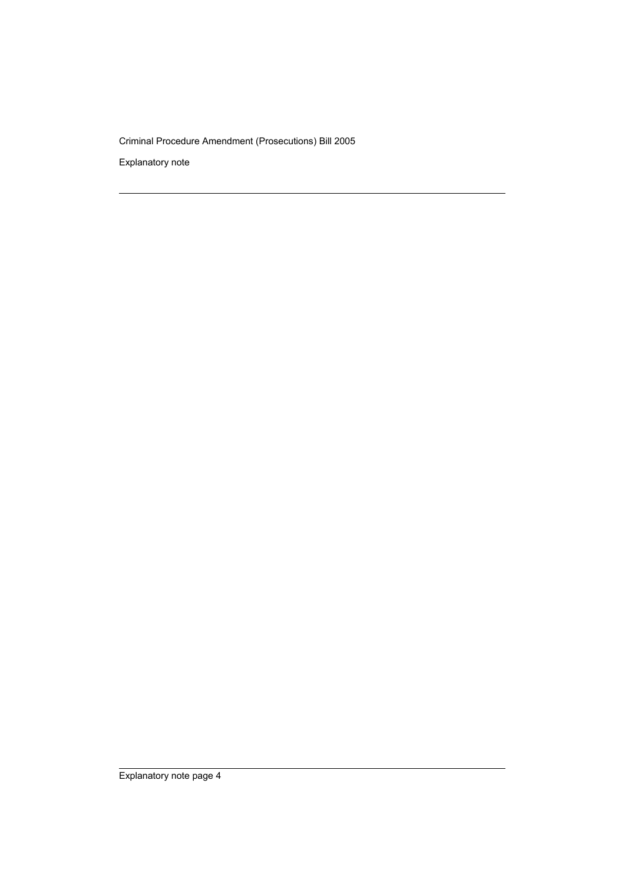Explanatory note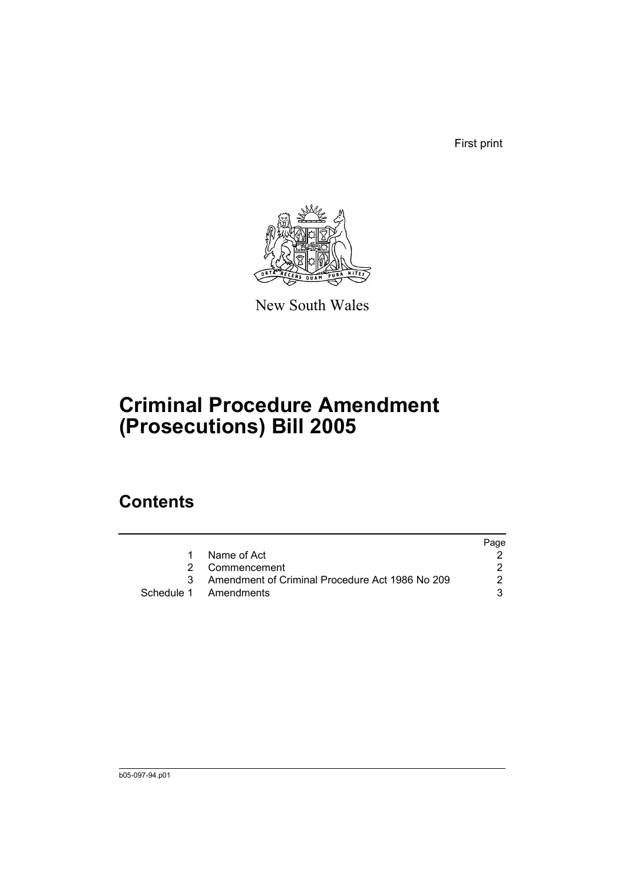First print



New South Wales

## **Criminal Procedure Amendment (Prosecutions) Bill 2005**

## **Contents**

|                                                   | Page |
|---------------------------------------------------|------|
| 1 Name of Act                                     |      |
| 2 Commencement                                    |      |
| 3 Amendment of Criminal Procedure Act 1986 No 209 | 2    |
| Schedule 1 Amendments                             |      |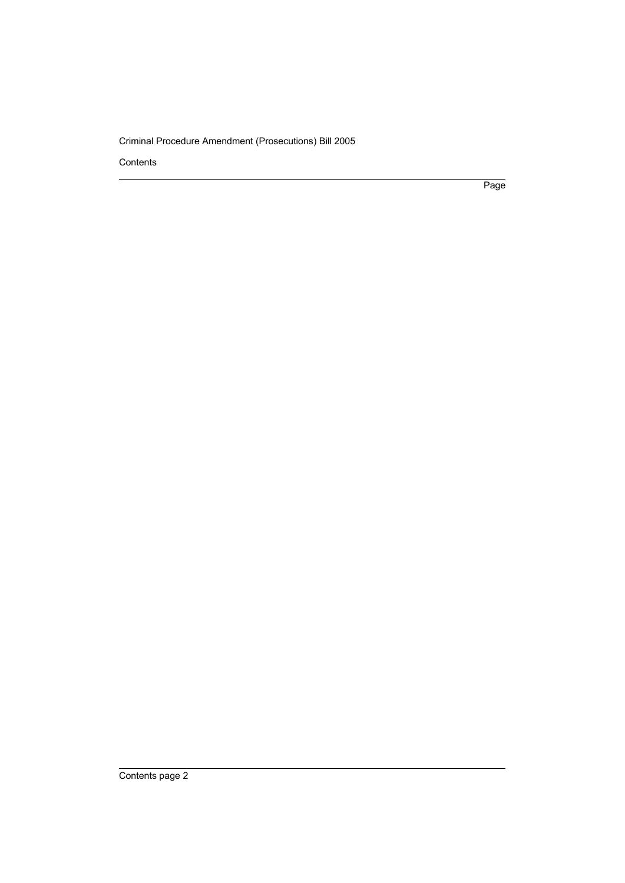Contents

Page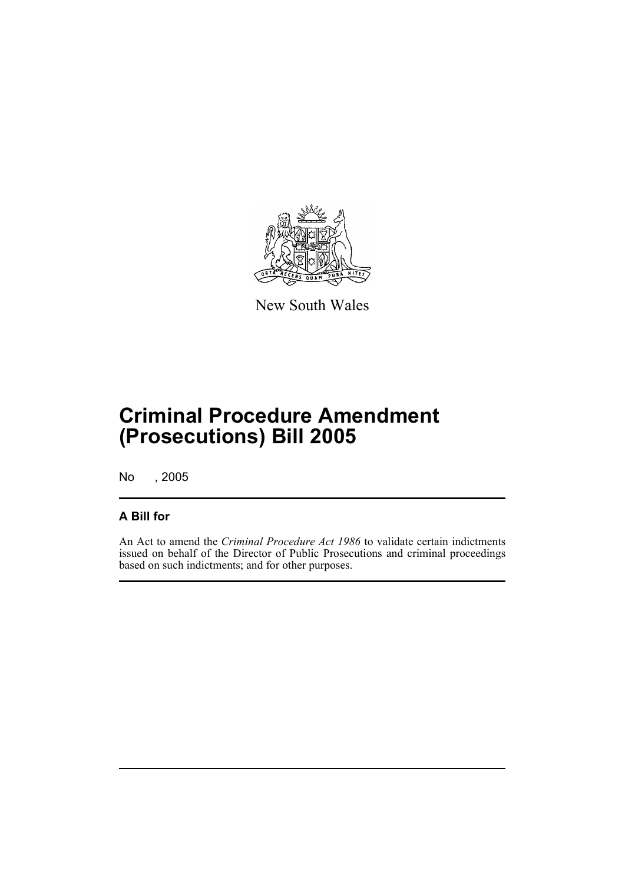

New South Wales

## **Criminal Procedure Amendment (Prosecutions) Bill 2005**

No , 2005

#### **A Bill for**

An Act to amend the *Criminal Procedure Act 1986* to validate certain indictments issued on behalf of the Director of Public Prosecutions and criminal proceedings based on such indictments; and for other purposes.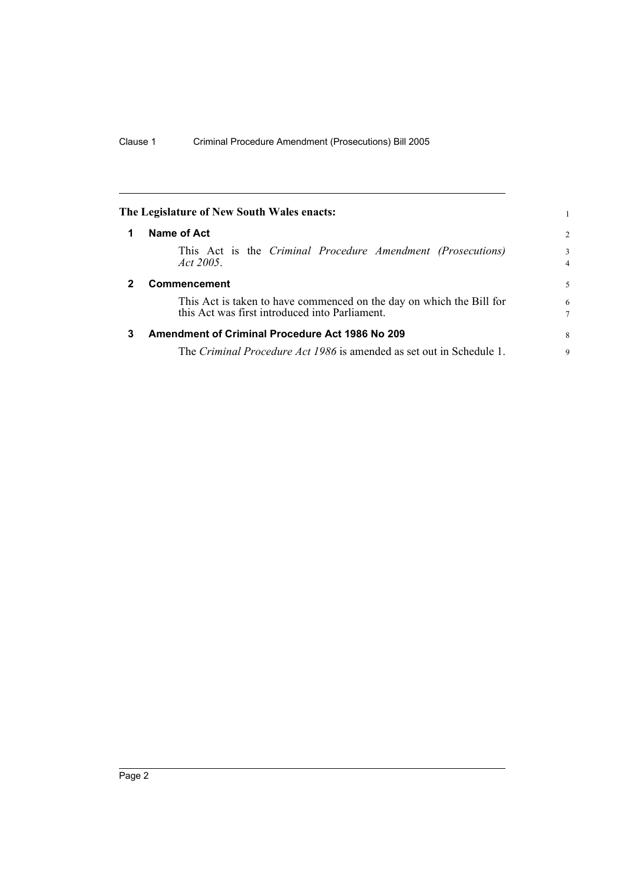<span id="page-7-2"></span><span id="page-7-1"></span><span id="page-7-0"></span>

|   | The Legislature of New South Wales enacts:                                                                             |                     |
|---|------------------------------------------------------------------------------------------------------------------------|---------------------|
| 1 | Name of Act                                                                                                            | $\overline{2}$      |
|   | This Act is the Criminal Procedure Amendment (Prosecutions)<br>Act 2005                                                | 3<br>$\overline{4}$ |
| 2 | Commencement                                                                                                           | 5                   |
|   | This Act is taken to have commenced on the day on which the Bill for<br>this Act was first introduced into Parliament. | 6<br>$\overline{7}$ |
| 3 | <b>Amendment of Criminal Procedure Act 1986 No 209</b>                                                                 |                     |
|   | The Criminal Procedure Act 1986 is amended as set out in Schedule 1.                                                   | 9                   |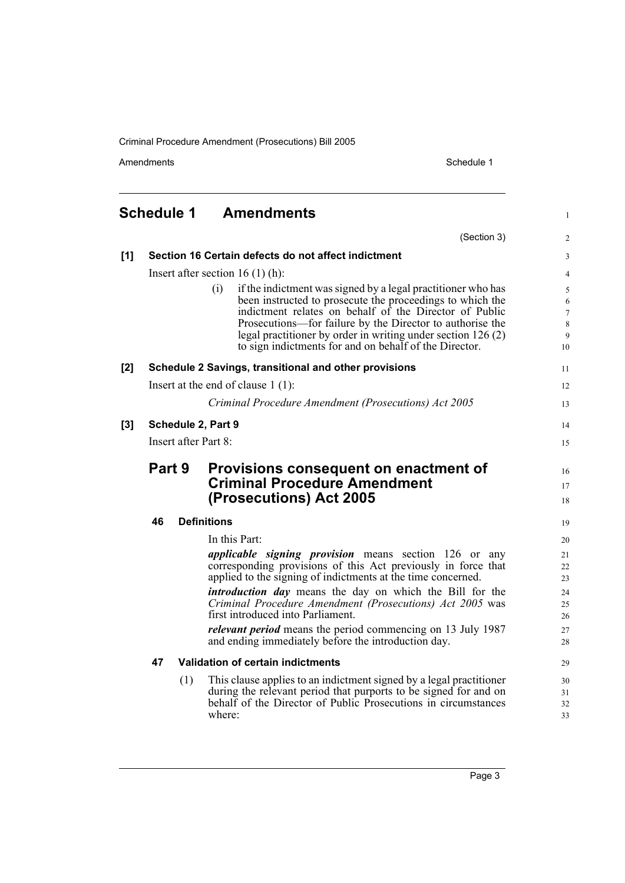Amendments Schedule 1

1

### <span id="page-8-0"></span>**Schedule 1 Amendments**

|     |                                                       |                                      |                    | (Section 3)                                                                                                                                                                                                                                                                                                                                                                | 2                                         |
|-----|-------------------------------------------------------|--------------------------------------|--------------------|----------------------------------------------------------------------------------------------------------------------------------------------------------------------------------------------------------------------------------------------------------------------------------------------------------------------------------------------------------------------------|-------------------------------------------|
| [1] | Section 16 Certain defects do not affect indictment   |                                      |                    |                                                                                                                                                                                                                                                                                                                                                                            |                                           |
|     | Insert after section $16(1)(h)$ :                     |                                      |                    |                                                                                                                                                                                                                                                                                                                                                                            |                                           |
|     |                                                       |                                      | (i)                | if the indictment was signed by a legal practitioner who has<br>been instructed to prosecute the proceedings to which the<br>indictment relates on behalf of the Director of Public<br>Prosecutions—for failure by the Director to authorise the<br>legal practitioner by order in writing under section 126 (2)<br>to sign indictments for and on behalf of the Director. | 5<br>6<br>$7\overline{ }$<br>8<br>9<br>10 |
| [2] | Schedule 2 Savings, transitional and other provisions |                                      |                    |                                                                                                                                                                                                                                                                                                                                                                            |                                           |
|     |                                                       | Insert at the end of clause $1(1)$ : |                    |                                                                                                                                                                                                                                                                                                                                                                            |                                           |
|     |                                                       |                                      |                    | Criminal Procedure Amendment (Prosecutions) Act 2005                                                                                                                                                                                                                                                                                                                       | 13                                        |
| [3] | Schedule 2, Part 9                                    |                                      |                    | 14                                                                                                                                                                                                                                                                                                                                                                         |                                           |
|     | Insert after Part 8:                                  |                                      |                    |                                                                                                                                                                                                                                                                                                                                                                            | 15                                        |
|     | Part 9                                                |                                      |                    | Provisions consequent on enactment of<br><b>Criminal Procedure Amendment</b><br>(Prosecutions) Act 2005                                                                                                                                                                                                                                                                    | 16<br>17<br>18                            |
|     | 46                                                    |                                      | <b>Definitions</b> |                                                                                                                                                                                                                                                                                                                                                                            | 19                                        |
|     |                                                       |                                      |                    | In this Part:                                                                                                                                                                                                                                                                                                                                                              | 20                                        |
|     |                                                       |                                      |                    | <i>applicable signing provision</i> means section 126 or any<br>corresponding provisions of this Act previously in force that<br>applied to the signing of indictments at the time concerned.                                                                                                                                                                              | 21<br>22<br>23                            |
|     |                                                       |                                      |                    | <i>introduction day</i> means the day on which the Bill for the<br>Criminal Procedure Amendment (Prosecutions) Act 2005 was<br>first introduced into Parliament.                                                                                                                                                                                                           | 24<br>25<br>26                            |
|     |                                                       |                                      |                    | <i>relevant period</i> means the period commencing on 13 July 1987<br>and ending immediately before the introduction day.                                                                                                                                                                                                                                                  | 27<br>28                                  |
|     | <b>Validation of certain indictments</b><br>47        |                                      |                    |                                                                                                                                                                                                                                                                                                                                                                            |                                           |
|     |                                                       | (1)                                  | where:             | This clause applies to an indictment signed by a legal practitioner<br>during the relevant period that purports to be signed for and on<br>behalf of the Director of Public Prosecutions in circumstances                                                                                                                                                                  | 30<br>31<br>32<br>33                      |